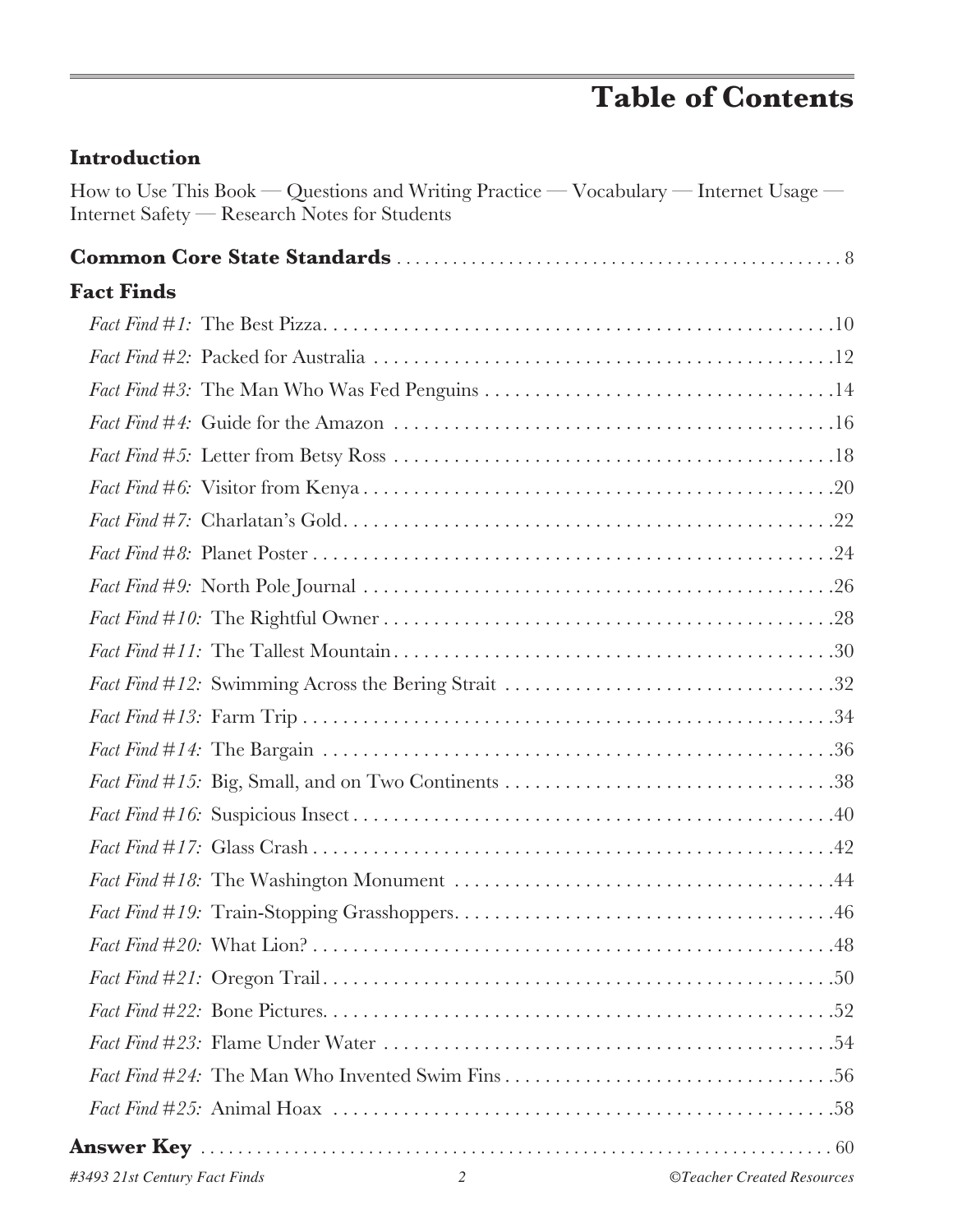# **Table of Contents**

| How to Use This Book — Questions and Writing Practice — Vocabulary — Internet Usage —<br>Internet Safety - Research Notes for Students |  |
|----------------------------------------------------------------------------------------------------------------------------------------|--|
|                                                                                                                                        |  |
| <b>Fact Finds</b>                                                                                                                      |  |
|                                                                                                                                        |  |
|                                                                                                                                        |  |
|                                                                                                                                        |  |
|                                                                                                                                        |  |
|                                                                                                                                        |  |
|                                                                                                                                        |  |
|                                                                                                                                        |  |
|                                                                                                                                        |  |
|                                                                                                                                        |  |
|                                                                                                                                        |  |
|                                                                                                                                        |  |
|                                                                                                                                        |  |
|                                                                                                                                        |  |
|                                                                                                                                        |  |
|                                                                                                                                        |  |
|                                                                                                                                        |  |
|                                                                                                                                        |  |
|                                                                                                                                        |  |
|                                                                                                                                        |  |
|                                                                                                                                        |  |
|                                                                                                                                        |  |
|                                                                                                                                        |  |
|                                                                                                                                        |  |
|                                                                                                                                        |  |
|                                                                                                                                        |  |
|                                                                                                                                        |  |

**Introduction**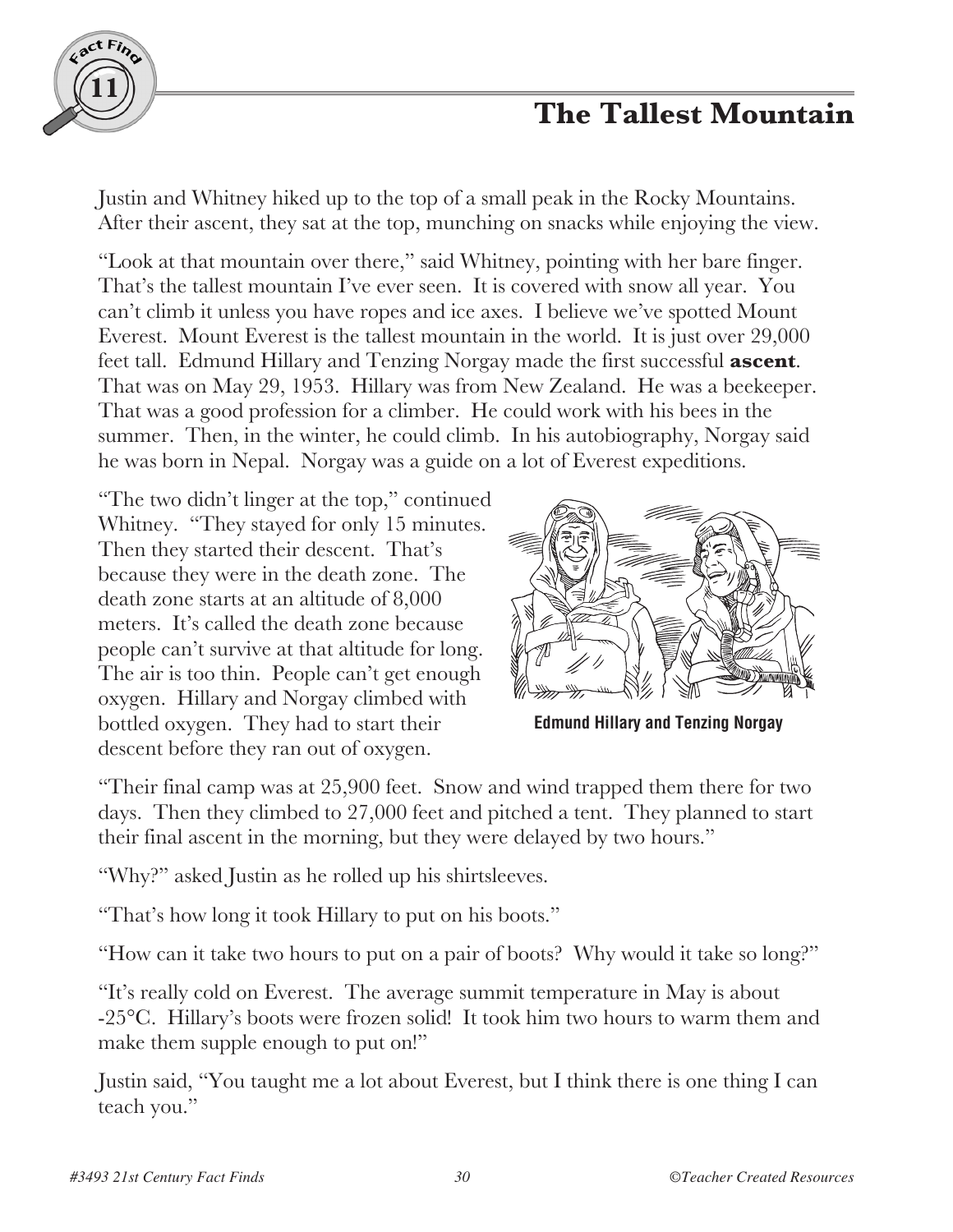

## **The Tallest Mountain**

Justin and Whitney hiked up to the top of a small peak in the Rocky Mountains. After their ascent, they sat at the top, munching on snacks while enjoying the view.

"Look at that mountain over there," said Whitney, pointing with her bare finger. That's the tallest mountain I've ever seen. It is covered with snow all year. You can't climb it unless you have ropes and ice axes. I believe we've spotted Mount Everest. Mount Everest is the tallest mountain in the world. It is just over 29,000 feet tall. Edmund Hillary and Tenzing Norgay made the first successful **ascent**. That was on May 29, 1953. Hillary was from New Zealand. He was a beekeeper. That was a good profession for a climber. He could work with his bees in the summer. Then, in the winter, he could climb. In his autobiography, Norgay said he was born in Nepal. Norgay was a guide on a lot of Everest expeditions.

"The two didn't linger at the top," continued Whitney. "They stayed for only 15 minutes. Then they started their descent. That's because they were in the death zone. The death zone starts at an altitude of 8,000 meters. It's called the death zone because people can't survive at that altitude for long. The air is too thin. People can't get enough oxygen. Hillary and Norgay climbed with bottled oxygen. They had to start their descent before they ran out of oxygen.



**Edmund Hillary and Tenzing Norgay**

"Their final camp was at 25,900 feet. Snow and wind trapped them there for two days. Then they climbed to 27,000 feet and pitched a tent. They planned to start their final ascent in the morning, but they were delayed by two hours."

"Why?" asked Justin as he rolled up his shirtsleeves.

"That's how long it took Hillary to put on his boots."

"How can it take two hours to put on a pair of boots? Why would it take so long?"

"It's really cold on Everest. The average summit temperature in May is about -25°C. Hillary's boots were frozen solid! It took him two hours to warm them and make them supple enough to put on!"

Justin said, "You taught me a lot about Everest, but I think there is one thing I can teach you."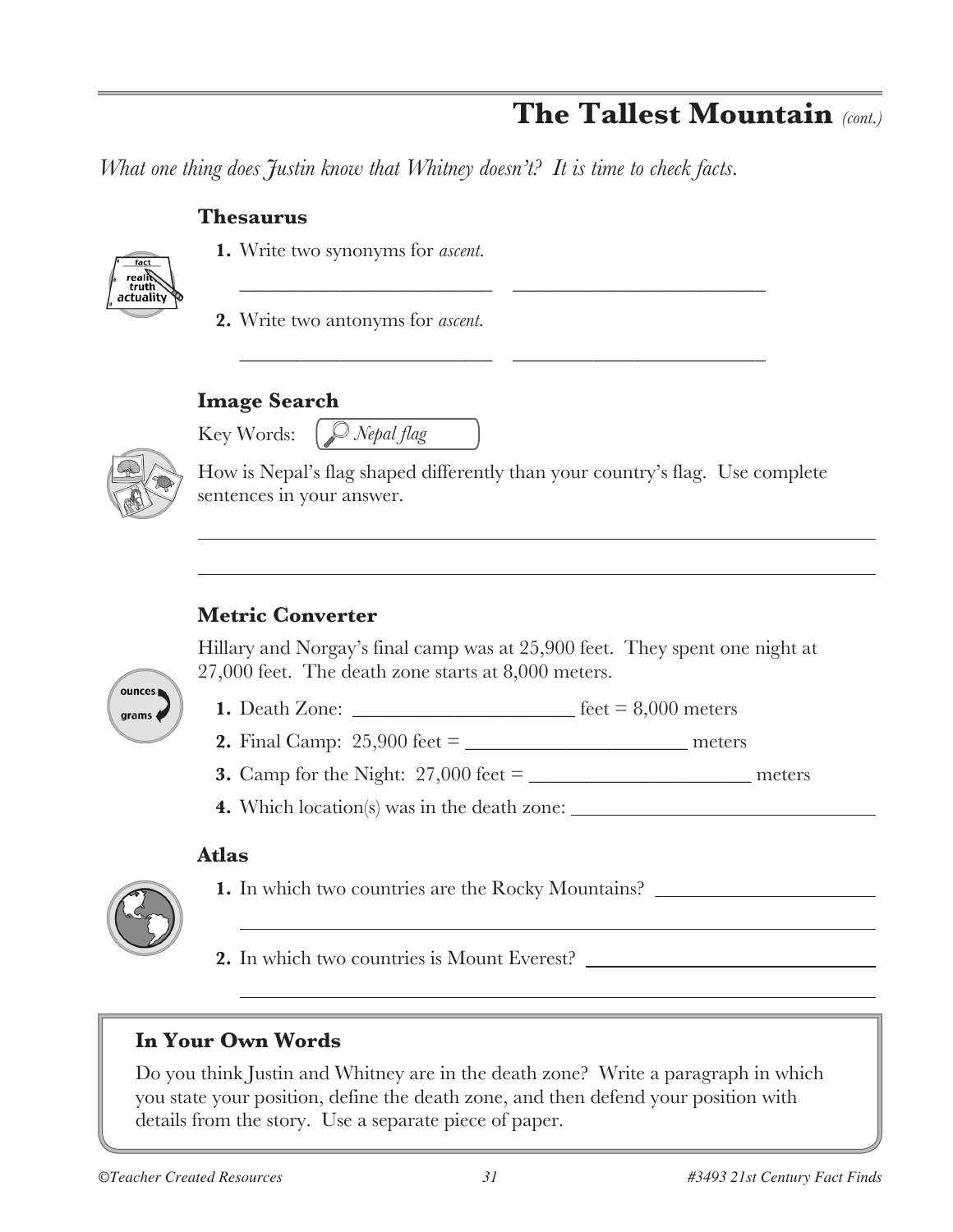## **The Tallest Mountain** *(cont.)*

*What one thing does Justin know that Whitney doesn't? It is time to check facts.*

### **Thesaurus**



**1.** Write two synonyms for *ascent*.

**2.** Write two antonyms for *ascent*.

## **Image Search**

Key Words: *Nepal flag*



How is Nepal's flag shaped differently than your country's flag. Use complete sentences in your answer.

\_\_\_\_\_\_\_\_\_\_\_\_\_\_\_\_\_\_\_\_\_\_\_\_\_ \_\_\_\_\_\_\_\_\_\_\_\_\_\_\_\_\_\_\_\_\_\_\_\_\_

\_\_\_\_\_\_\_\_\_\_\_\_\_\_\_\_\_\_\_\_\_\_\_\_\_ \_\_\_\_\_\_\_\_\_\_\_\_\_\_\_\_\_\_\_\_\_\_\_\_\_

## **Metric Converter**

Hillary and Norgay's final camp was at 25,900 feet. They spent one night at 27,000 feet. The death zone starts at 8,000 meters.



**1.** Death Zone: \_\_\_\_\_\_\_\_\_\_\_\_\_\_\_\_\_\_\_\_\_\_ feet = 8,000 meters

- **2.** Final Camp: 25,900 feet = \_\_\_\_\_\_\_\_\_\_\_\_\_\_\_\_\_\_\_\_\_\_ meters
- **3.** Camp for the Night: 27,000 feet = \_\_\_\_\_\_\_\_\_\_\_\_\_\_\_\_\_\_\_\_\_\_ meters
- **4.** Which location(s) was in the death zone:

#### **Atlas**



**1.** In which two countries are the Rocky Mountains?

**2.** In which two countries is Mount Everest?

## **In Your Own Words**

Do you think Justin and Whitney are in the death zone? Write a paragraph in which you state your position, define the death zone, and then defend your position with details from the story. Use a separate piece of paper.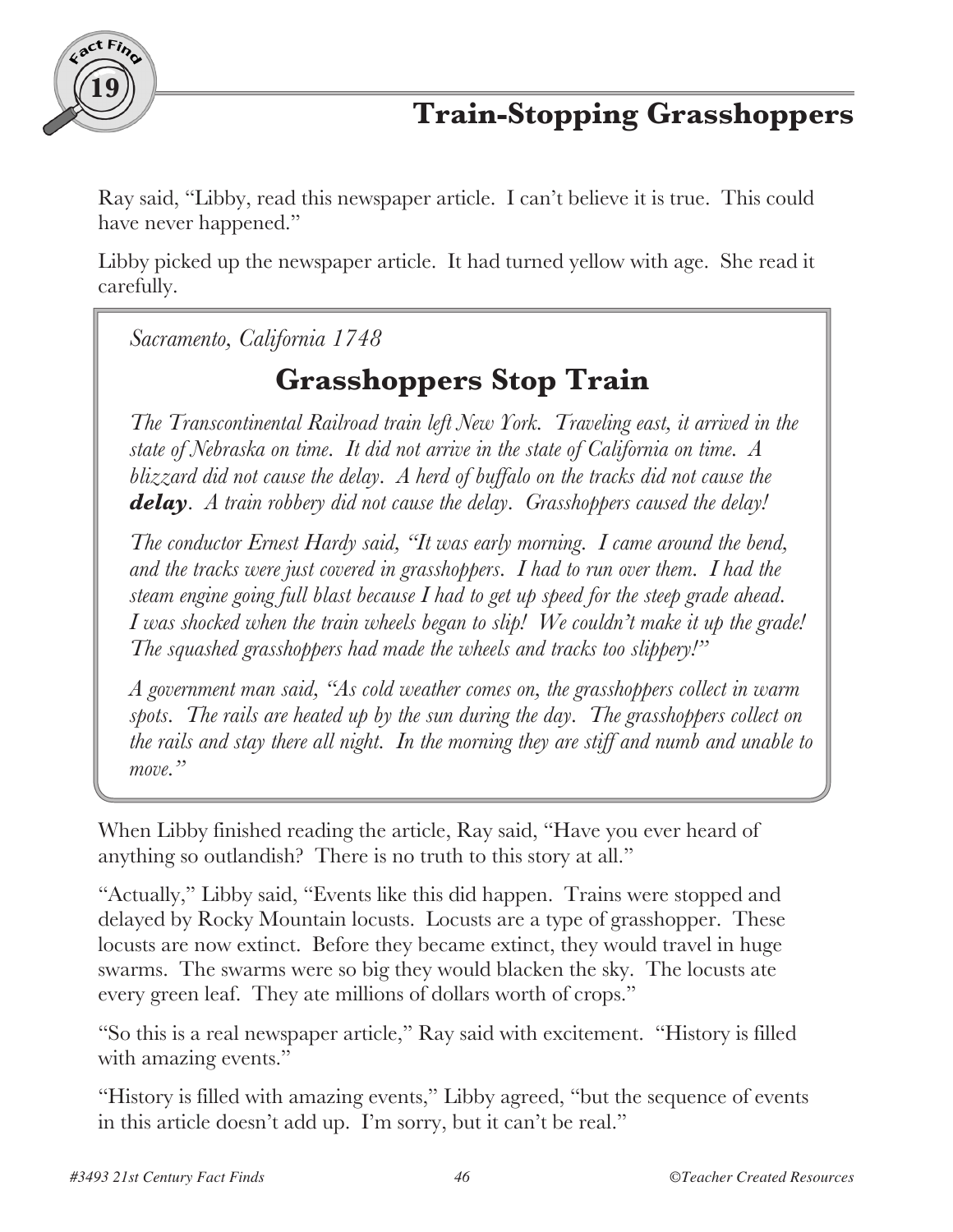

Ray said, "Libby, read this newspaper article. I can't believe it is true. This could have never happened."

Libby picked up the newspaper article. It had turned yellow with age. She read it carefully.

*Sacramento, California 1748*

# **Grasshoppers Stop Train**

*The Transcontinental Railroad train left New York. Traveling east, it arrived in the state of Nebraska on time. It did not arrive in the state of California on time. A blizzard did not cause the delay. A herd of buffalo on the tracks did not cause the delay. A train robbery did not cause the delay. Grasshoppers caused the delay!*

*The conductor Ernest Hardy said, "It was early morning. I came around the bend, and the tracks were just covered in grasshoppers. I had to run over them. I had the steam engine going full blast because I had to get up speed for the steep grade ahead. I was shocked when the train wheels began to slip! We couldn't make it up the grade! The squashed grasshoppers had made the wheels and tracks too slippery!"*

*A government man said, "As cold weather comes on, the grasshoppers collect in warm spots. The rails are heated up by the sun during the day. The grasshoppers collect on the rails and stay there all night. In the morning they are stiff and numb and unable to move."*

When Libby finished reading the article, Ray said, "Have you ever heard of anything so outlandish? There is no truth to this story at all."

"Actually," Libby said, "Events like this did happen. Trains were stopped and delayed by Rocky Mountain locusts. Locusts are a type of grasshopper. These locusts are now extinct. Before they became extinct, they would travel in huge swarms. The swarms were so big they would blacken the sky. The locusts ate every green leaf. They ate millions of dollars worth of crops."

"So this is a real newspaper article," Ray said with excitement. "History is filled with amazing events."

"History is filled with amazing events," Libby agreed, "but the sequence of events in this article doesn't add up. I'm sorry, but it can't be real."